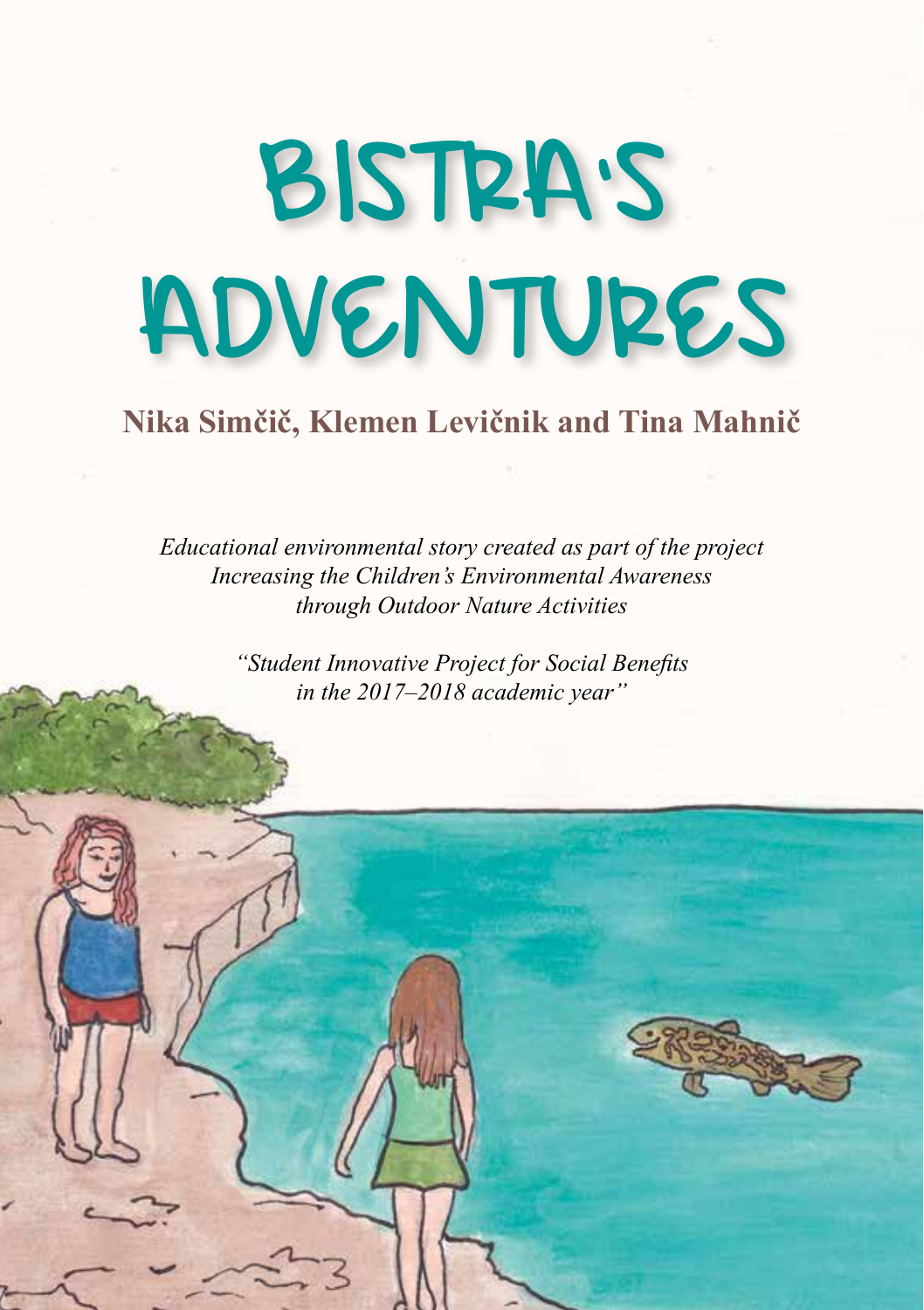# BISTRA'S ADVENTURES

## **Nika Simčič, Klemen Levičnik and Tina Mahnič**

*Educational environmental story created as part of the project Increasing the Children's Environmental Awareness through Outdoor Nature Activities*

> *"Student Innovative Project for Social Benefits in the 2017–2018 academic year"*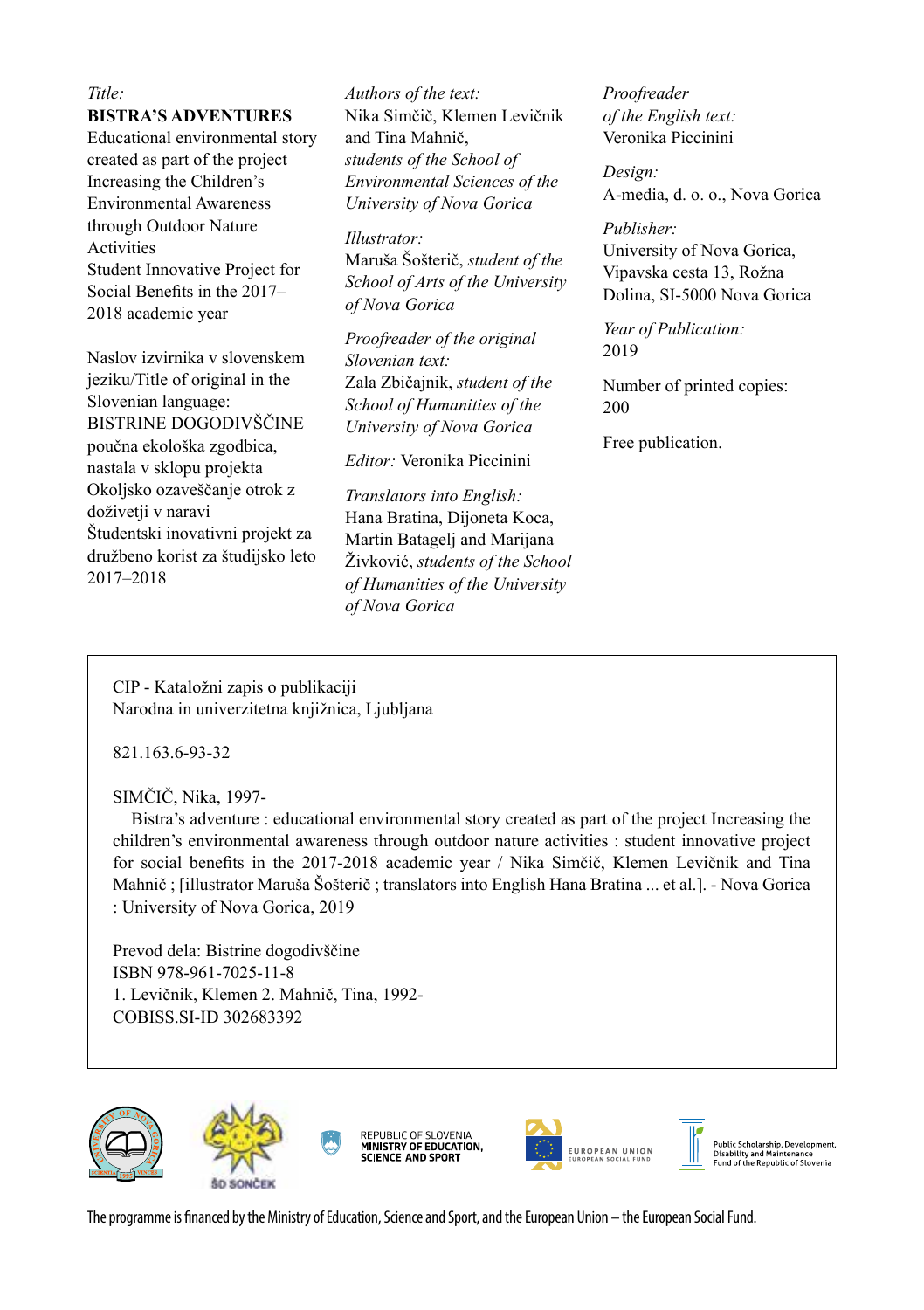#### *Title:*

#### **BISTRA'S ADVENTURES**

Educational environmental story created as part of the project Increasing the Children's Environmental Awareness through Outdoor Nature Activities Student Innovative Project for Social Benefits in the 2017– 2018 academic year

Naslov izvirnika v slovenskem jeziku/Title of original in the Slovenian language: BISTRINE DOGODIVŠČINE poučna ekološka zgodbica, nastala v sklopu projekta Okoljsko ozaveščanje otrok z doživetji v naravi Študentski inovativni projekt za družbeno korist za študijsko leto 2017–2018

*Authors of the text:* Nika Simčič, Klemen Levičnik and Tina Mahnič, *students of the School of Environmental Sciences of the University of Nova Gorica*

*Illustrator:* Maruša Šošterič, *student of the School of Arts of the University of Nova Gorica*

*Proofreader of the original Slovenian text:* Zala Zbičajnik, *student of the School of Humanities of the University of Nova Gorica*

*Editor:* Veronika Piccinini

*Translators into English:* Hana Bratina, Dijoneta Koca, Martin Batagelj and Marijana Živković, *students of the School of Humanities of the University of Nova Gorica*

*Proofreader of the English text:* Veronika Piccinini

*Design:*  A-media, d. o. o., Nova Gorica

*Publisher:* University of Nova Gorica, Vipavska cesta 13, Rožna Dolina, SI-5000 Nova Gorica

*Year of Publication:*  2019

Number of printed copies: 200

Free publication.

CIP - Kataložni zapis o publikaciji Narodna in univerzitetna knjižnica, Ljubljana

821.163.6-93-32

SIMČIČ, Nika, 1997-

 Bistra's adventure : educational environmental story created as part of the project Increasing the children's environmental awareness through outdoor nature activities : student innovative project for social benefits in the 2017-2018 academic year / Nika Simčič, Klemen Levičnik and Tina Mahnič ; [illustrator Maruša Šošterič ; translators into English Hana Bratina ... et al.]. - Nova Gorica : University of Nova Gorica, 2019

Prevod dela: Bistrine dogodivščine ISBN 978-961-7025-11-8 1. Levičnik, Klemen 2. Mahnič, Tina, 1992- COBISS.SI-ID 302683392





REPUBLIC OF SLOVENIA<br>**MINISTRY OF EDUCATION,**<br>SCIENCE AND SPORT



Public Scholarship, Development,<br>Disability and Maintenance<br>Fund of the Republic of Slovenia

The programme is financed by the Ministry of Education, Science and Sport, and the European Union – the European Social Fund.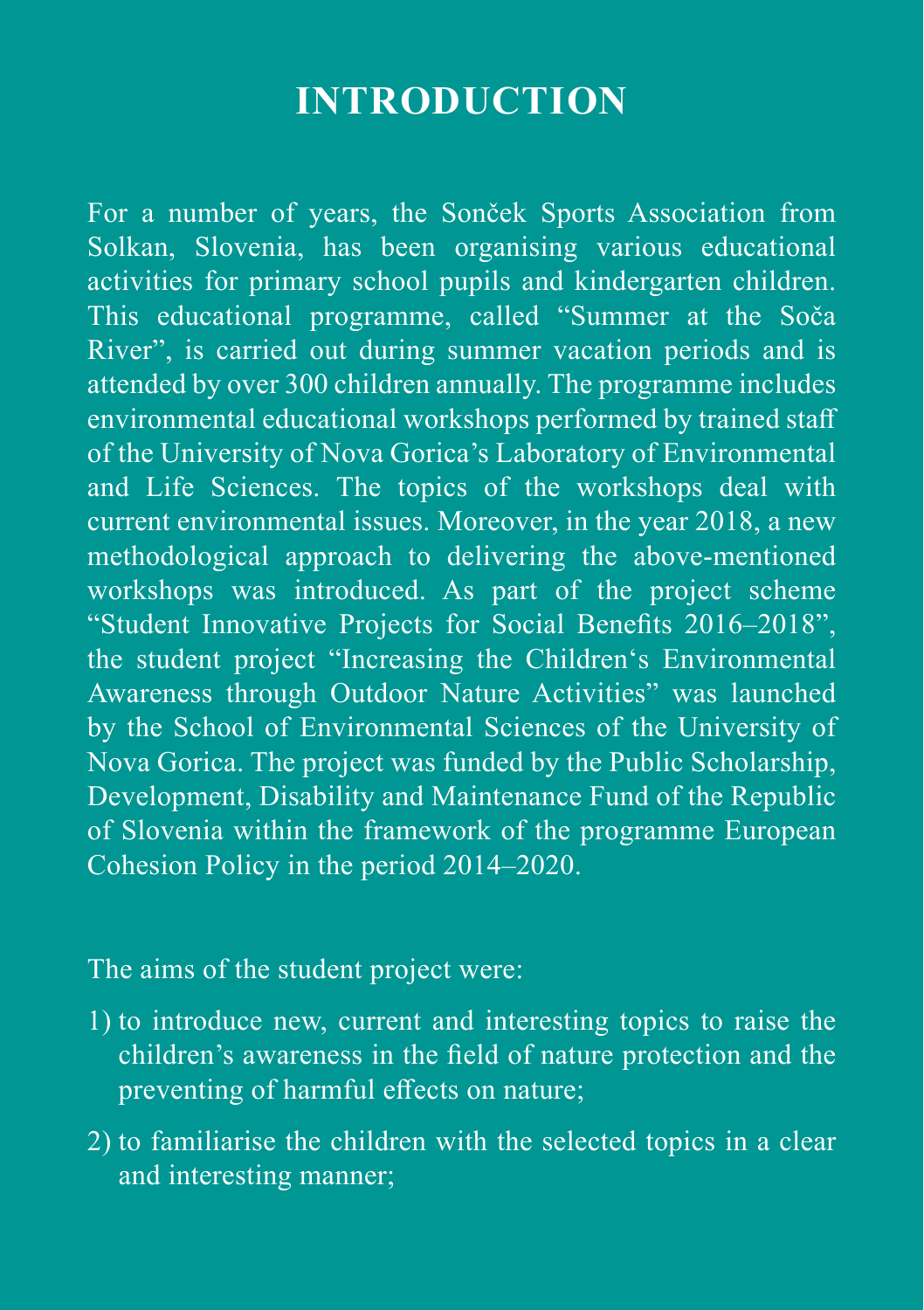## **Introduction**

For a number of years, the Sonček Sports Association from Solkan, Slovenia, has been organising various educational activities for primary school pupils and kindergarten children. This educational programme, called "Summer at the Soča River", is carried out during summer vacation periods and is attended by over 300 children annually. The programme includes environmental educational workshops performed by trained staff of the University of Nova Gorica's Laboratory of Environmental and Life Sciences. The topics of the workshops deal with current environmental issues. Moreover, in the year 2018, a new methodological approach to delivering the above-mentioned workshops was introduced. As part of the project scheme "Student Innovative Projects for Social Benefits 2016–2018", the student project "Increasing the Children's Environmental Awareness through Outdoor Nature Activities" was launched by the School of Environmental Sciences of the University of Nova Gorica. The project was funded by the Public Scholarship, Development, Disability and Maintenance Fund of the Republic of Slovenia within the framework of the programme European Cohesion Policy in the period 2014–2020.

The aims of the student project were:

- 1) to introduce new, current and interesting topics to raise the children's awareness in the field of nature protection and the preventing of harmful effects on nature;
- 2) to familiarise the children with the selected topics in a clear and interesting manner;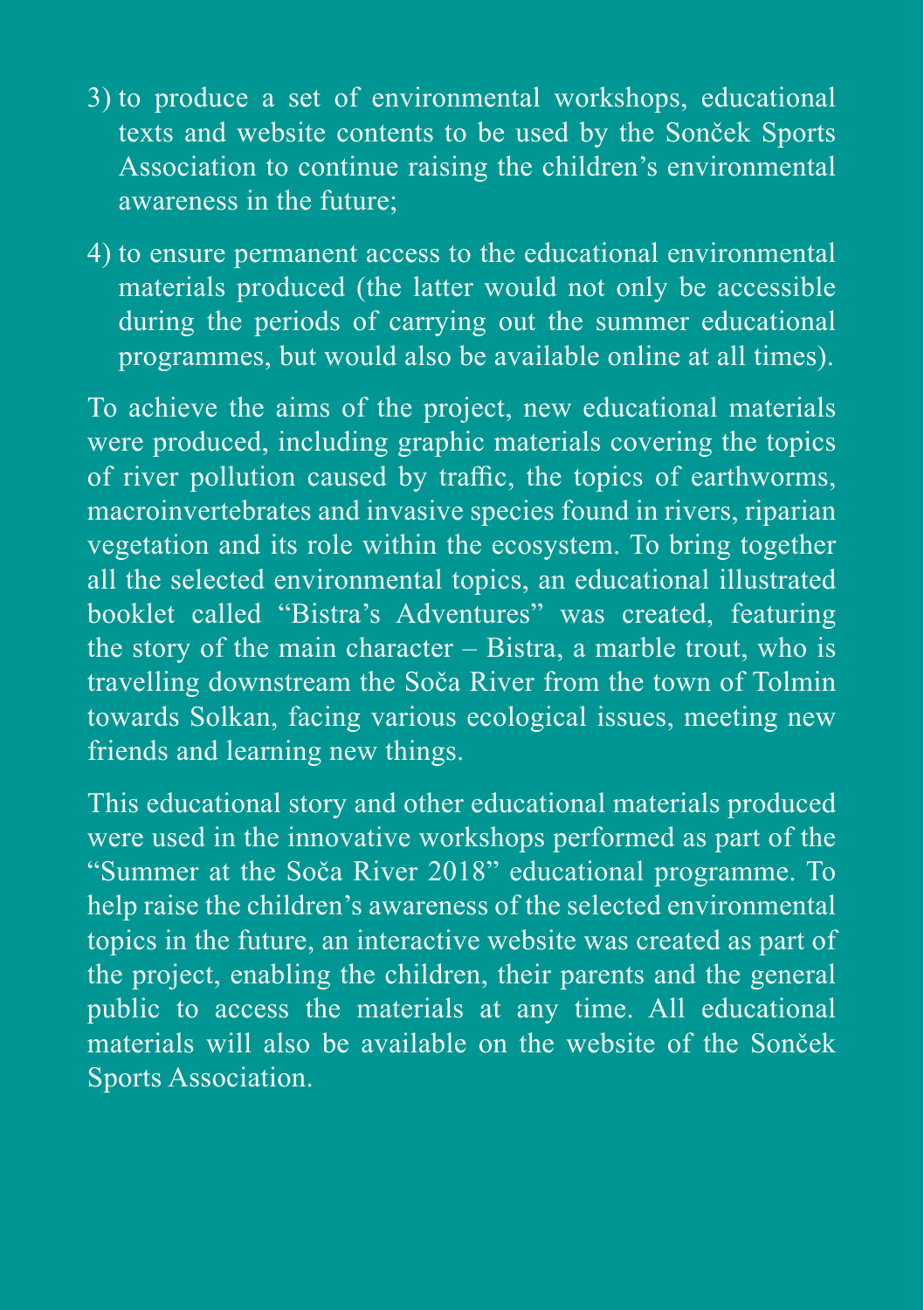- 3) to produce a set of environmental workshops, educational texts and website contents to be used by the Sonček Sports Association to continue raising the children's environmental awareness in the future;
- 4) to ensure permanent access to the educational environmental materials produced (the latter would not only be accessible during the periods of carrying out the summer educational programmes, but would also be available online at all times).

To achieve the aims of the project, new educational materials were produced, including graphic materials covering the topics of river pollution caused by traffic, the topics of earthworms, macroinvertebrates and invasive species found in rivers, riparian vegetation and its role within the ecosystem. To bring together all the selected environmental topics, an educational illustrated booklet called "Bistra's Adventures" was created, featuring the story of the main character – Bistra, a marble trout, who is travelling downstream the Soča River from the town of Tolmin towards Solkan, facing various ecological issues, meeting new friends and learning new things.

This educational story and other educational materials produced were used in the innovative workshops performed as part of the "Summer at the Soča River 2018" educational programme. To help raise the children's awareness of the selected environmental topics in the future, an interactive website was created as part of the project, enabling the children, their parents and the general public to access the materials at any time. All educational materials will also be available on the website of the Sonček Sports Association.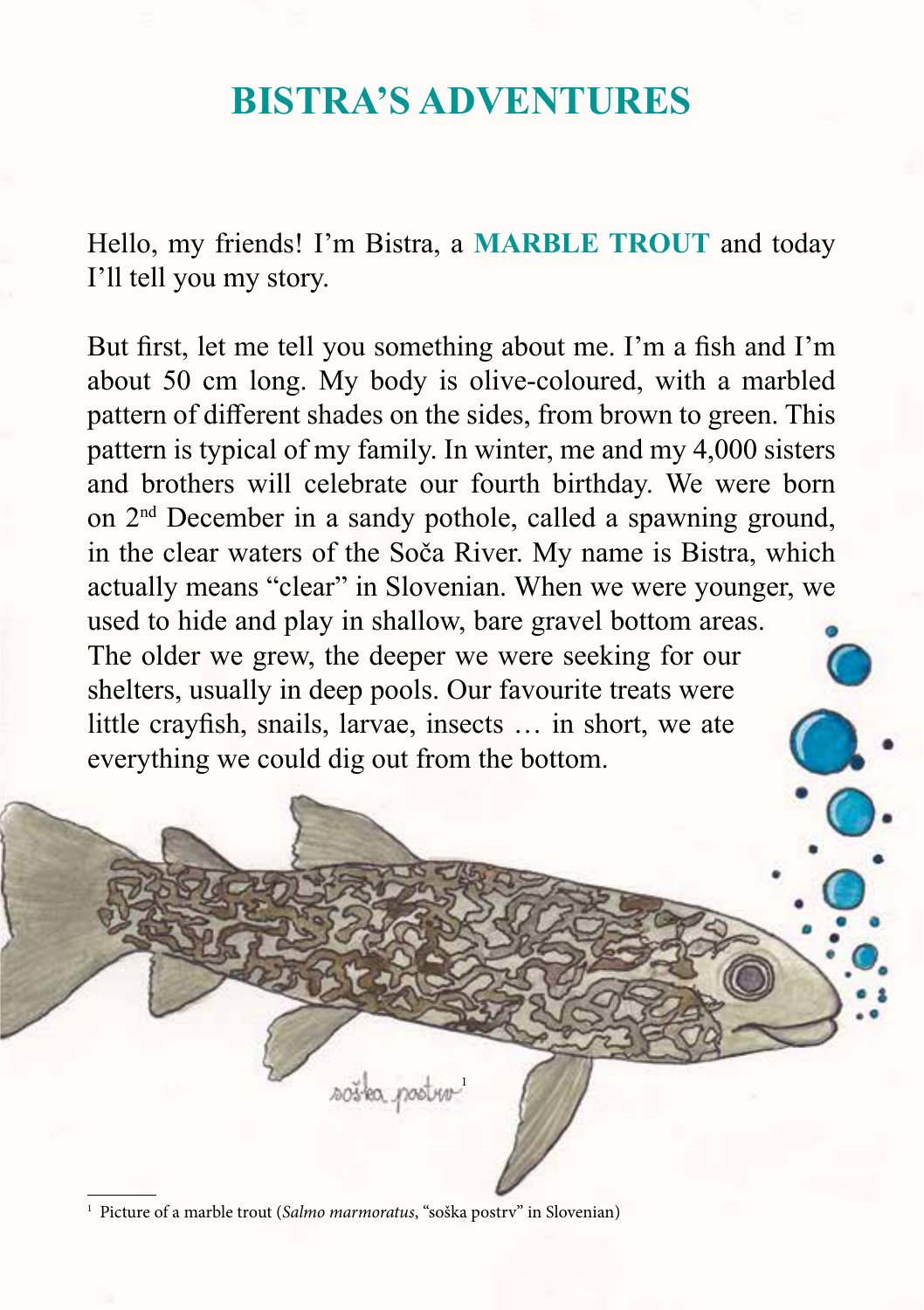## **BISTRA'S ADVENTURES**

Hello, my friends! I'm Bistra, a **MARBLE TROUT** and today I'll tell you my story.

But first, let me tell you something about me. I'm a fish and I'm about 50 cm long. My body is olive-coloured, with a marbled pattern of different shades on the sides, from brown to green. This pattern is typical of my family. In winter, me and my 4,000 sisters and brothers will celebrate our fourth birthday. We were born on 2nd December in a sandy pothole, called a spawning ground, in the clear waters of the Soča River. My name is Bistra, which actually means "clear" in Slovenian. When we were younger, we used to hide and play in shallow, bare gravel bottom areas. The older we grew, the deeper we were seeking for our shelters, usually in deep pools. Our favourite treats were little crayfish, snails, larvae, insects … in short, we ate everything we could dig out from the bottom.

1

<sup>1</sup> Picture of a marble trout (*Salmo marmoratus*, "soška postrv" in Slovenian)

sostea postur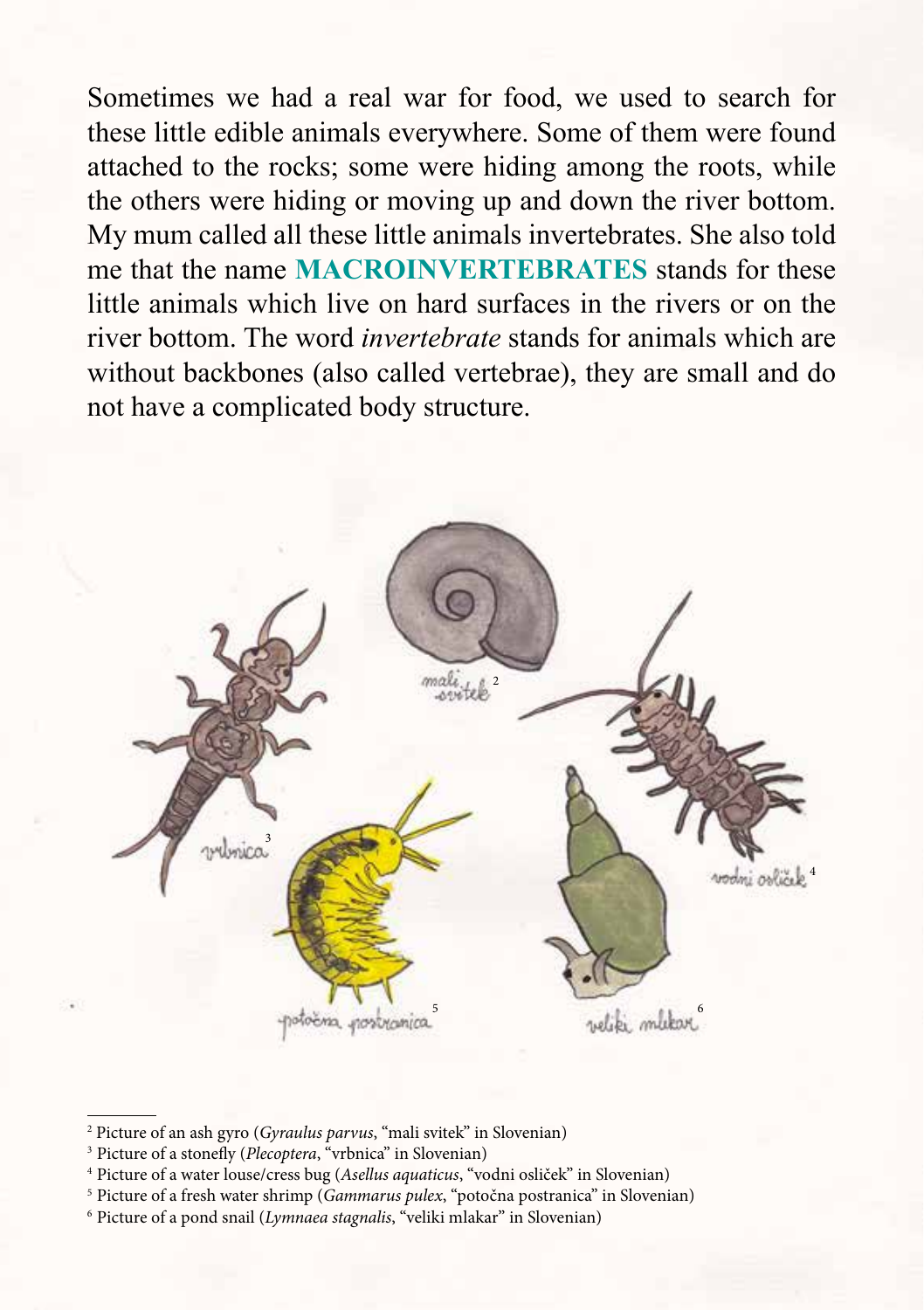Sometimes we had a real war for food, we used to search for these little edible animals everywhere. Some of them were found attached to the rocks; some were hiding among the roots, while the others were hiding or moving up and down the river bottom. My mum called all these little animals invertebrates. She also told me that the name **MACROINVERTEBRATES** stands for these little animals which live on hard surfaces in the rivers or on the river bottom. The word *invertebrate* stands for animals which are without backbones (also called vertebrae), they are small and do not have a complicated body structure.



<sup>2</sup> Picture of an ash gyro (*Gyraulus parvus*, "mali svitek" in Slovenian)

<sup>&</sup>lt;sup>3</sup> Picture of a stonefly (*Plecoptera*, "vrbnica" in Slovenian)

<sup>4</sup> Picture of a water louse/cress bug (*Asellus aquaticus*, "vodni osliček" in Slovenian)

<sup>5</sup> Picture of a fresh water shrimp (*Gammarus pulex*, "potočna postranica" in Slovenian)

<sup>6</sup> Picture of a pond snail (*Lymnaea stagnalis*, "veliki mlakar" in Slovenian)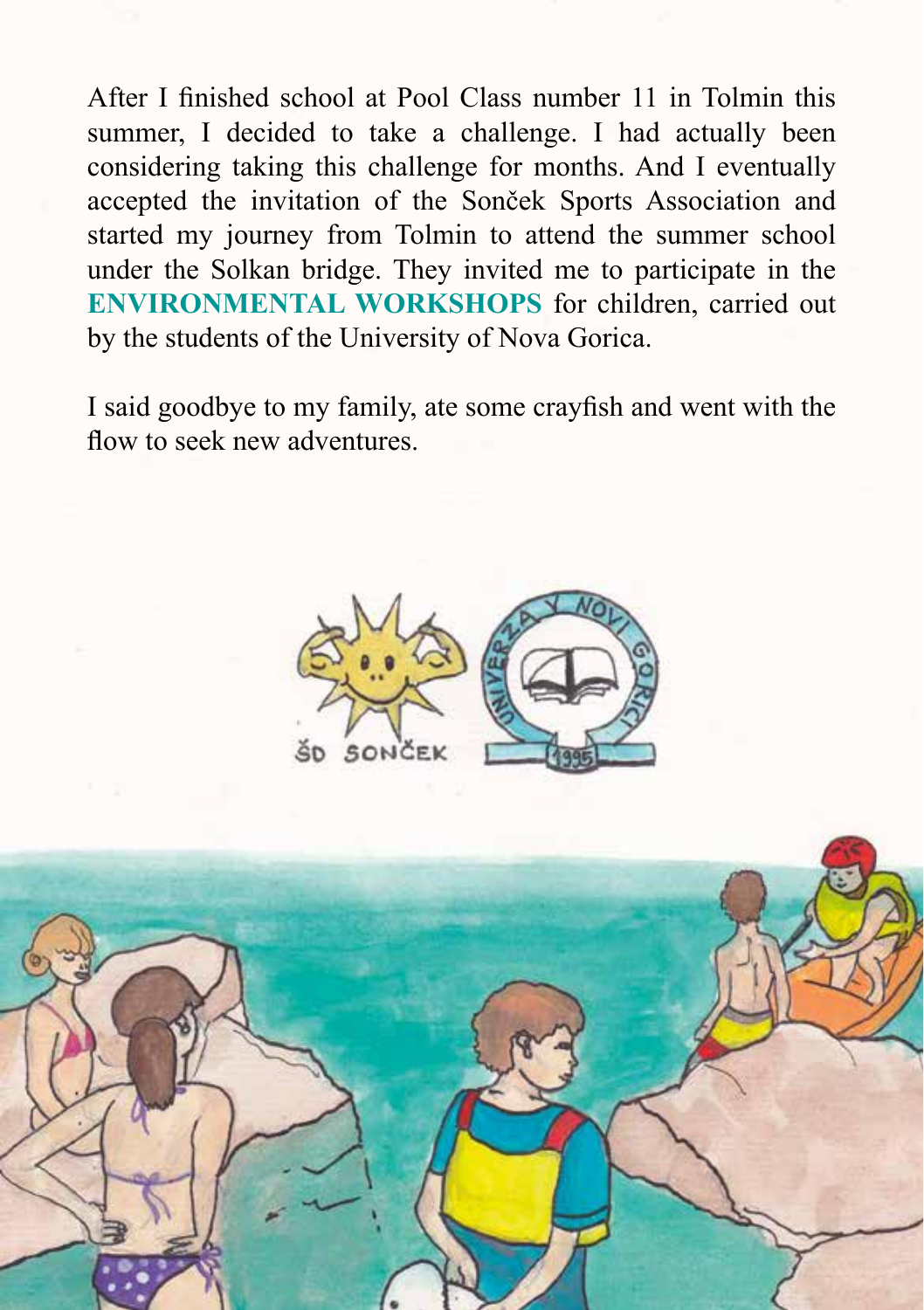After I finished school at Pool Class number 11 in Tolmin this summer, I decided to take a challenge. I had actually been considering taking this challenge for months. And I eventually accepted the invitation of the Sonček Sports Association and started my journey from Tolmin to attend the summer school under the Solkan bridge. They invited me to participate in the **ENVIRONMENTAL WORKSHOPS** for children, carried out by the students of the University of Nova Gorica.

I said goodbye to my family, ate some crayfish and went with the flow to seek new adventures.



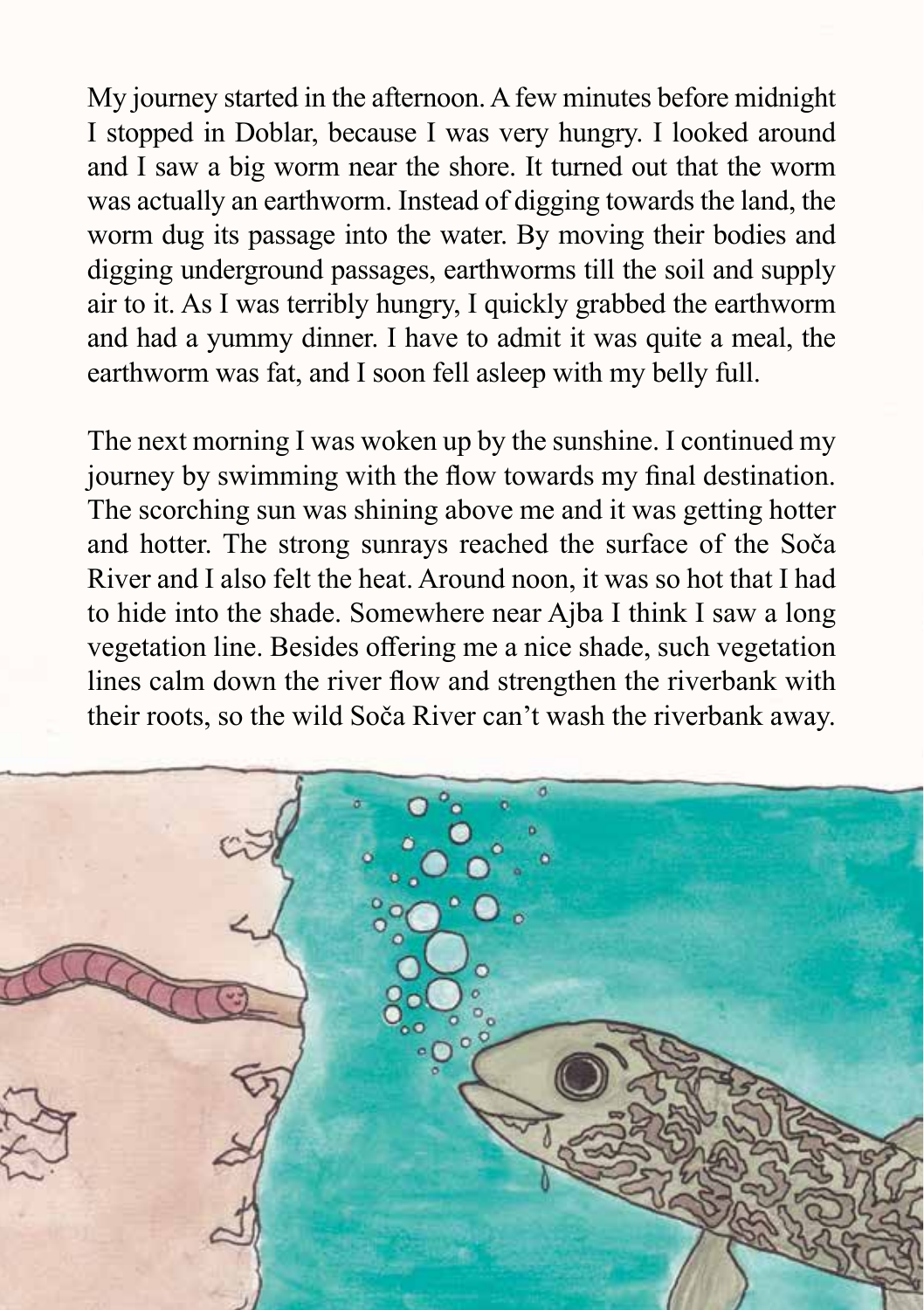My journey started in the afternoon. A few minutes before midnight I stopped in Doblar, because I was very hungry. I looked around and I saw a big worm near the shore. It turned out that the worm was actually an earthworm. Instead of digging towards the land, the worm dug its passage into the water. By moving their bodies and digging underground passages, earthworms till the soil and supply air to it. As I was terribly hungry, I quickly grabbed the earthworm and had a yummy dinner. I have to admit it was quite a meal, the earthworm was fat, and I soon fell asleep with my belly full.

The next morning I was woken up by the sunshine. I continued my journey by swimming with the flow towards my final destination. The scorching sun was shining above me and it was getting hotter and hotter. The strong sunrays reached the surface of the Soča River and I also felt the heat. Around noon, it was so hot that I had to hide into the shade. Somewhere near Ajba I think I saw a long vegetation line. Besides offering me a nice shade, such vegetation lines calm down the river flow and strengthen the riverbank with their roots, so the wild Soča River can't wash the riverbank away.

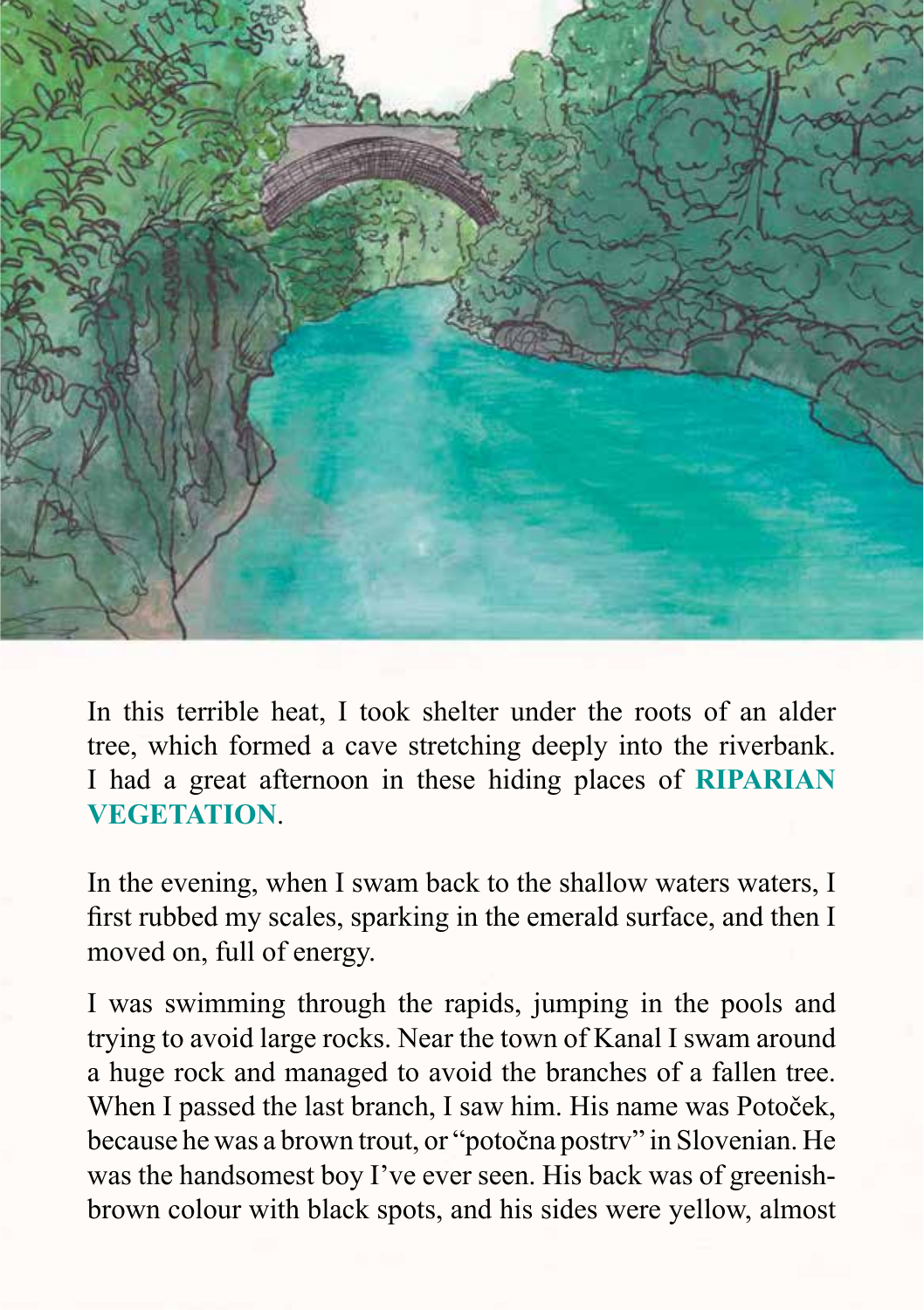

In this terrible heat, I took shelter under the roots of an alder tree, which formed a cave stretching deeply into the riverbank. I had a great afternoon in these hiding places of **RIPARIAN VEGETATION**.

In the evening, when I swam back to the shallow waters waters, I first rubbed my scales, sparking in the emerald surface, and then I moved on, full of energy.

I was swimming through the rapids, jumping in the pools and trying to avoid large rocks. Near the town of Kanal I swam around a huge rock and managed to avoid the branches of a fallen tree. When I passed the last branch, I saw him. His name was Potoček, because he was a brown trout, or "potočna postrv" in Slovenian. He was the handsomest boy I've ever seen. His back was of greenishbrown colour with black spots, and his sides were yellow, almost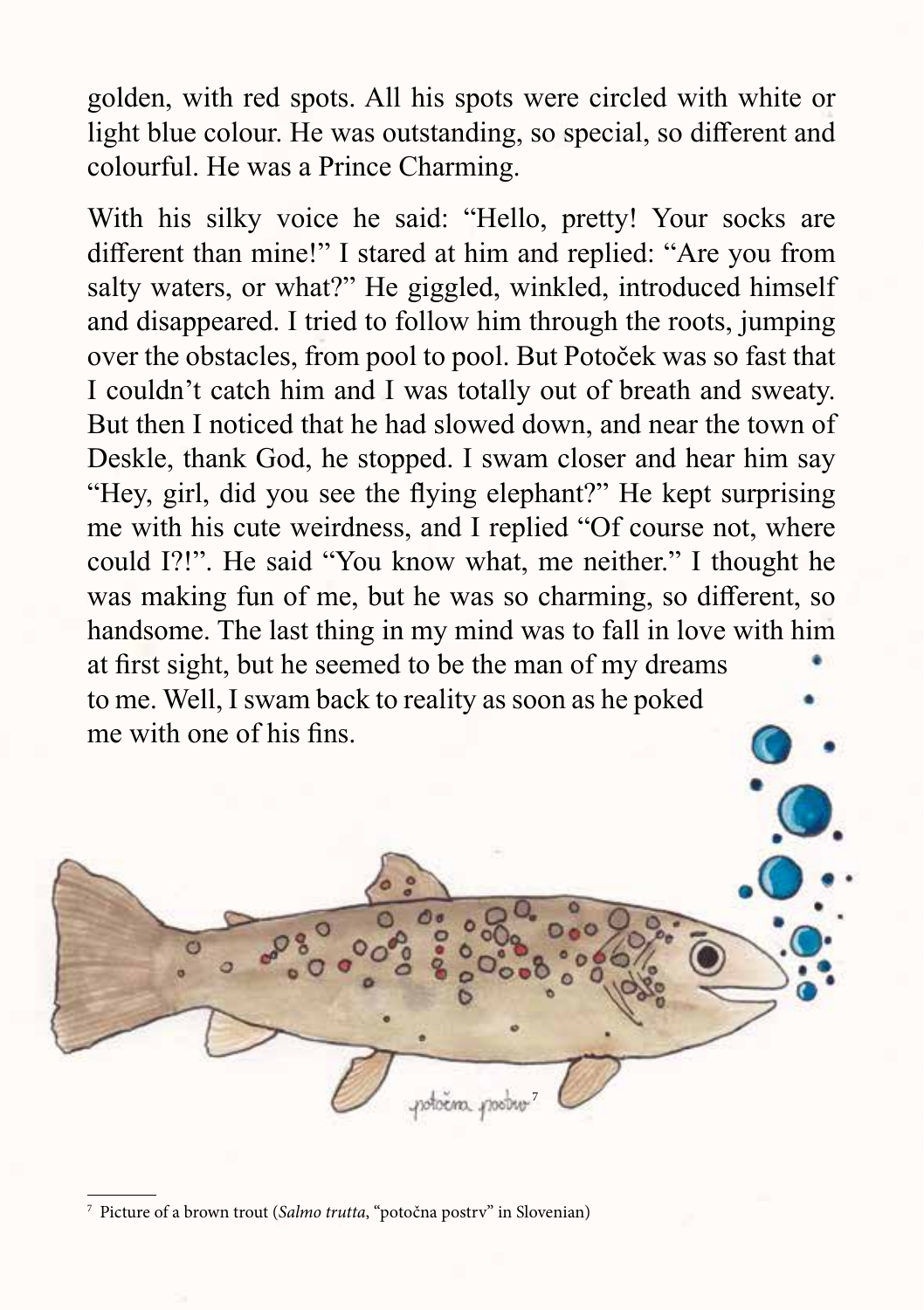golden, with red spots. All his spots were circled with white or light blue colour. He was outstanding, so special, so different and colourful. He was a Prince Charming.

With his silky voice he said: "Hello, pretty! Your socks are different than mine!" I stared at him and replied: "Are you from salty waters, or what?" He giggled, winkled, introduced himself and disappeared. I tried to follow him through the roots, jumping over the obstacles, from pool to pool. But Potoček was so fast that I couldn't catch him and I was totally out of breath and sweaty. But then I noticed that he had slowed down, and near the town of Deskle, thank God, he stopped. I swam closer and hear him say "Hey, girl, did you see the flying elephant?" He kept surprising me with his cute weirdness, and I replied "Of course not, where could I?!". He said "You know what, me neither." I thought he was making fun of me, but he was so charming, so different, so handsome. The last thing in my mind was to fall in love with him at first sight, but he seemed to be the man of my dreams to me. Well, I swam back to reality as soon as he poked me with one of his fins.



<sup>7</sup> Picture of a brown trout (*Salmo trutta*, "potočna postrv" in Slovenian)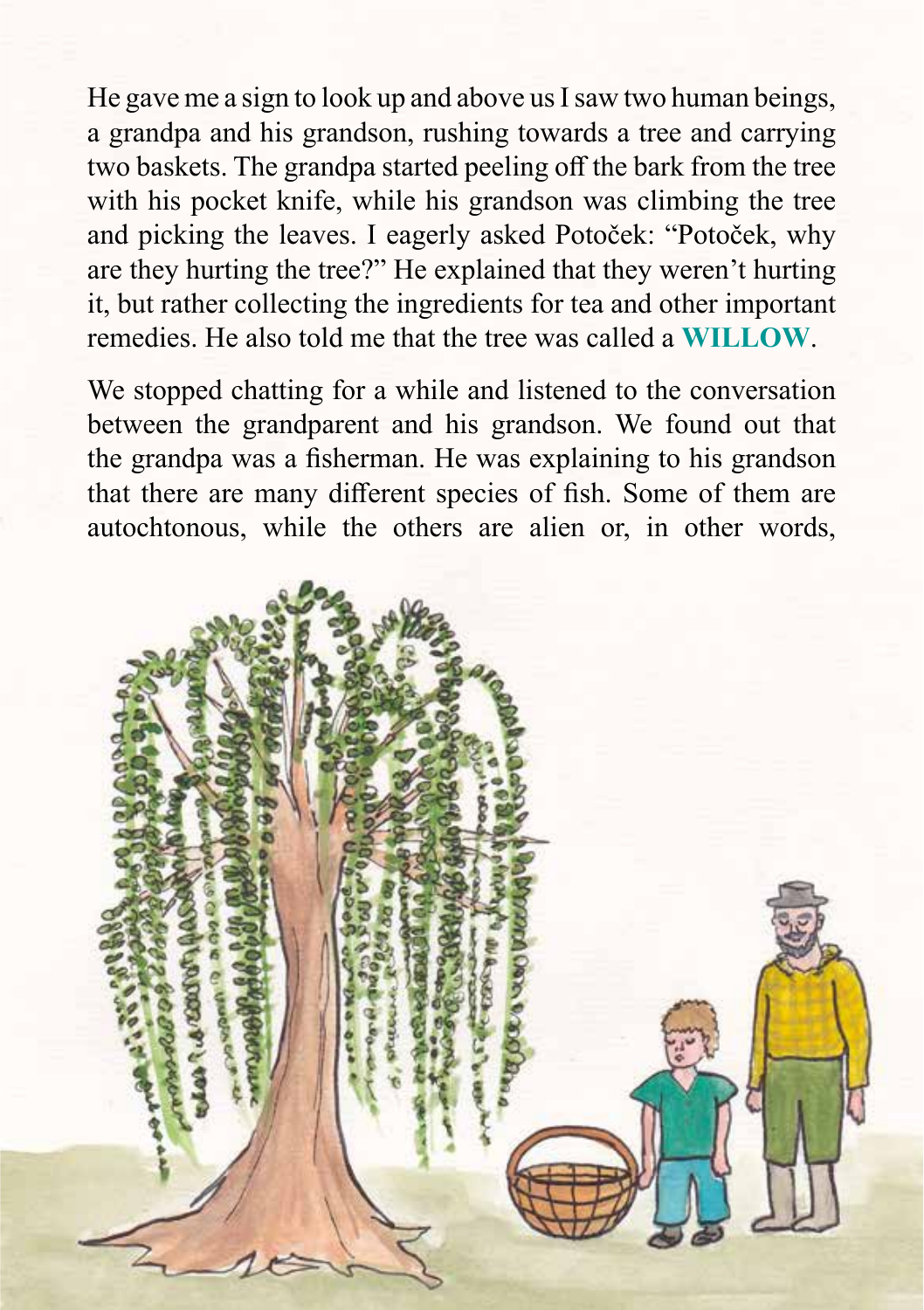He gave me a sign to look up and above us I saw two human beings, a grandpa and his grandson, rushing towards a tree and carrying two baskets. The grandpa started peeling off the bark from the tree with his pocket knife, while his grandson was climbing the tree and picking the leaves. I eagerly asked Potoček: "Potoček, why are they hurting the tree?" He explained that they weren't hurting it, but rather collecting the ingredients for tea and other important remedies. He also told me that the tree was called a **WILLOW**.

We stopped chatting for a while and listened to the conversation between the grandparent and his grandson. We found out that the grandpa was a fisherman. He was explaining to his grandson that there are many different species of fish. Some of them are autochtonous, while the others are alien or, in other words,

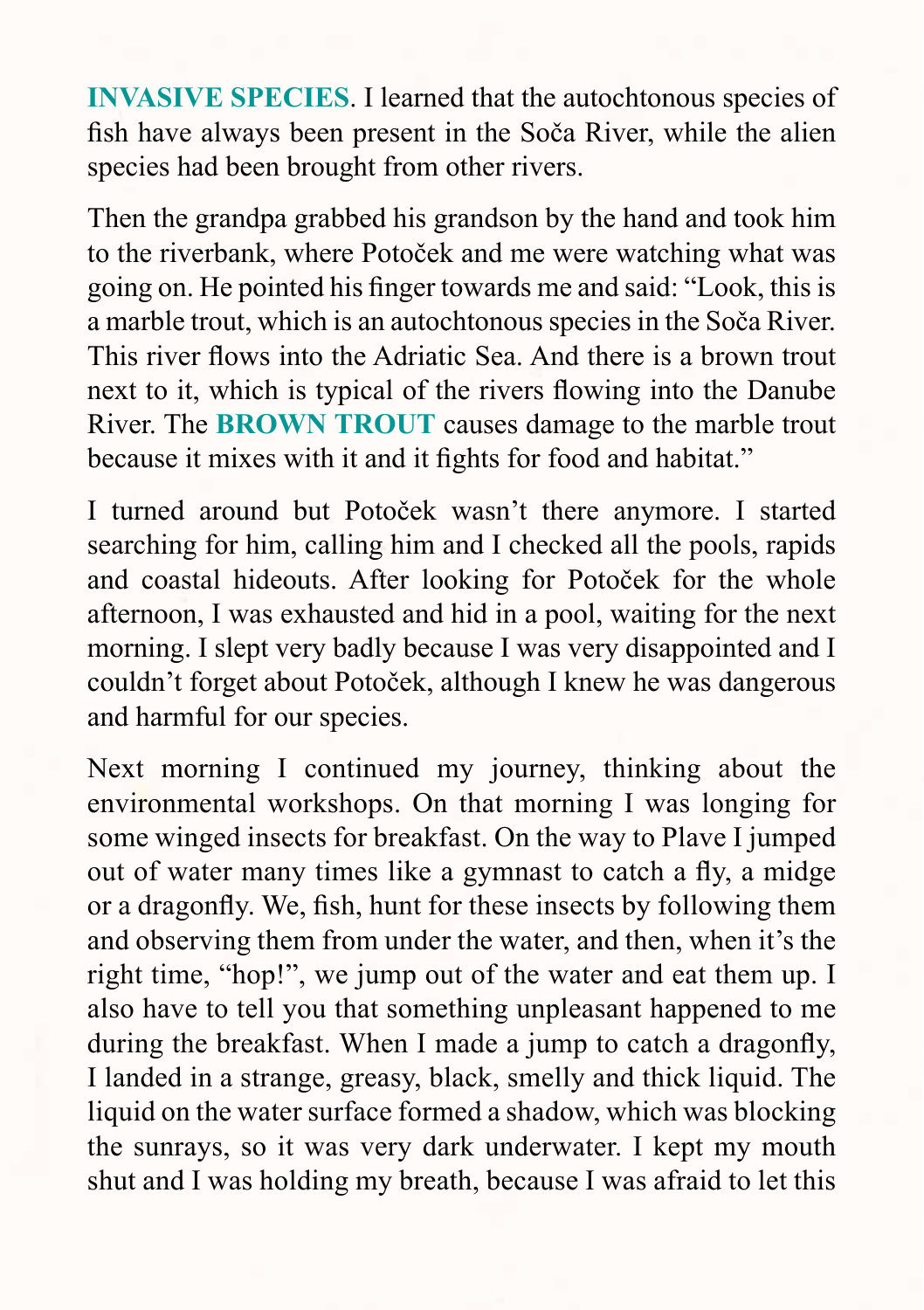**INVASIVE SPECIES**. I learned that the autochtonous species of fish have always been present in the Soča River, while the alien species had been brought from other rivers.

Then the grandpa grabbed his grandson by the hand and took him to the riverbank, where Potoček and me were watching what was going on. He pointed his finger towards me and said: "Look, this is a marble trout, which is an autochtonous species in the Soča River. This river flows into the Adriatic Sea. And there is a brown trout next to it, which is typical of the rivers flowing into the Danube River. The **BROWN TROUT** causes damage to the marble trout because it mixes with it and it fights for food and habitat."

I turned around but Potoček wasn't there anymore. I started searching for him, calling him and I checked all the pools, rapids and coastal hideouts. After looking for Potoček for the whole afternoon, I was exhausted and hid in a pool, waiting for the next morning. I slept very badly because I was very disappointed and I couldn't forget about Potoček, although I knew he was dangerous and harmful for our species.

Next morning I continued my journey, thinking about the environmental workshops. On that morning I was longing for some winged insects for breakfast. On the way to Plave I jumped out of water many times like a gymnast to catch a fly, a midge or a dragonfly. We, fish, hunt for these insects by following them and observing them from under the water, and then, when it's the right time, "hop!", we jump out of the water and eat them up. I also have to tell you that something unpleasant happened to me during the breakfast. When I made a jump to catch a dragonfly, I landed in a strange, greasy, black, smelly and thick liquid. The liquid on the water surface formed a shadow, which was blocking the sunrays, so it was very dark underwater. I kept my mouth shut and I was holding my breath, because I was afraid to let this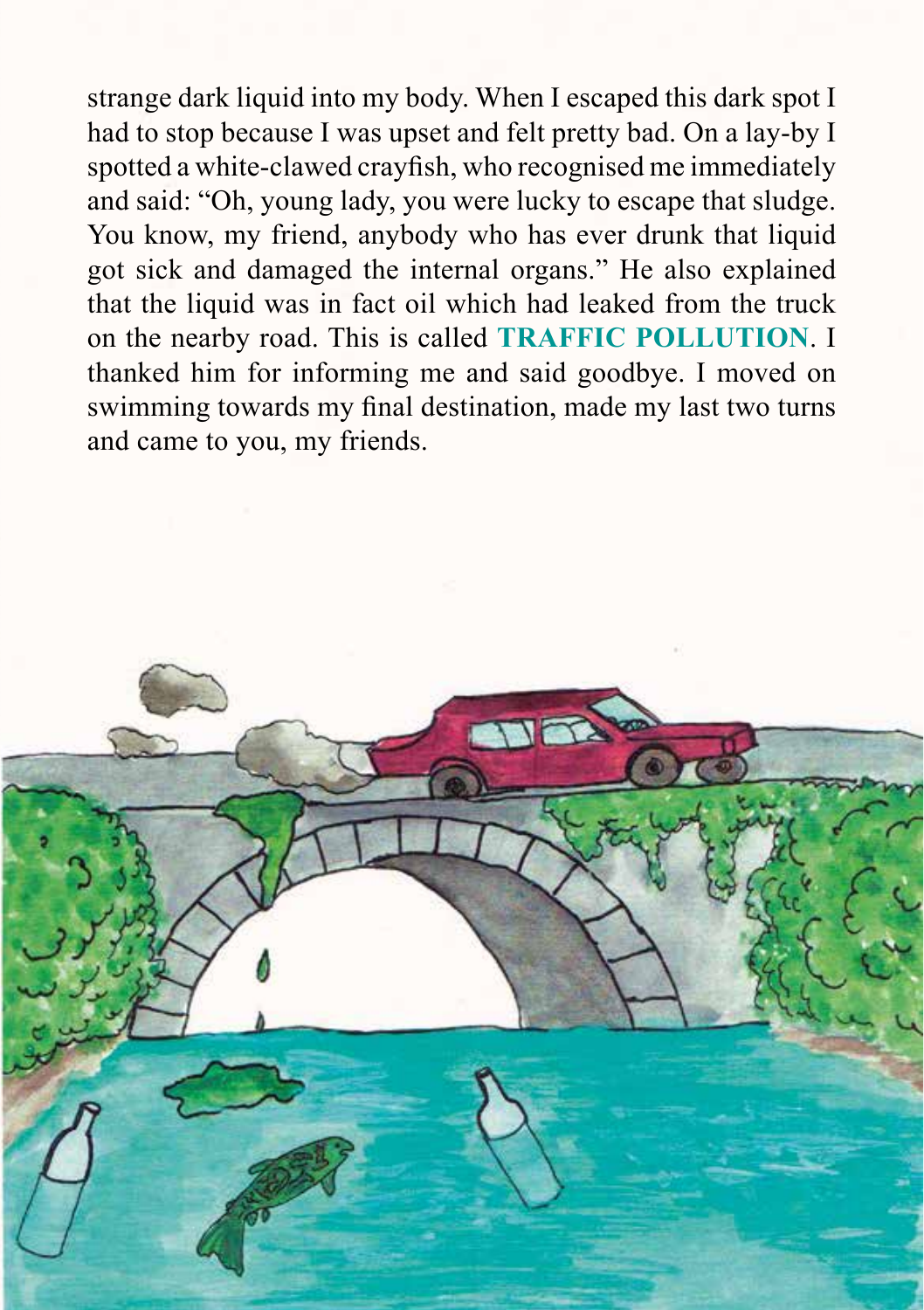strange dark liquid into my body. When I escaped this dark spot I had to stop because I was upset and felt pretty bad. On a lay-by I spotted a white-clawed crayfish, who recognised me immediately and said: "Oh, young lady, you were lucky to escape that sludge. You know, my friend, anybody who has ever drunk that liquid got sick and damaged the internal organs." He also explained that the liquid was in fact oil which had leaked from the truck on the nearby road. This is called **TRAFFIC POLLUTION**. I thanked him for informing me and said goodbye. I moved on swimming towards my final destination, made my last two turns and came to you, my friends.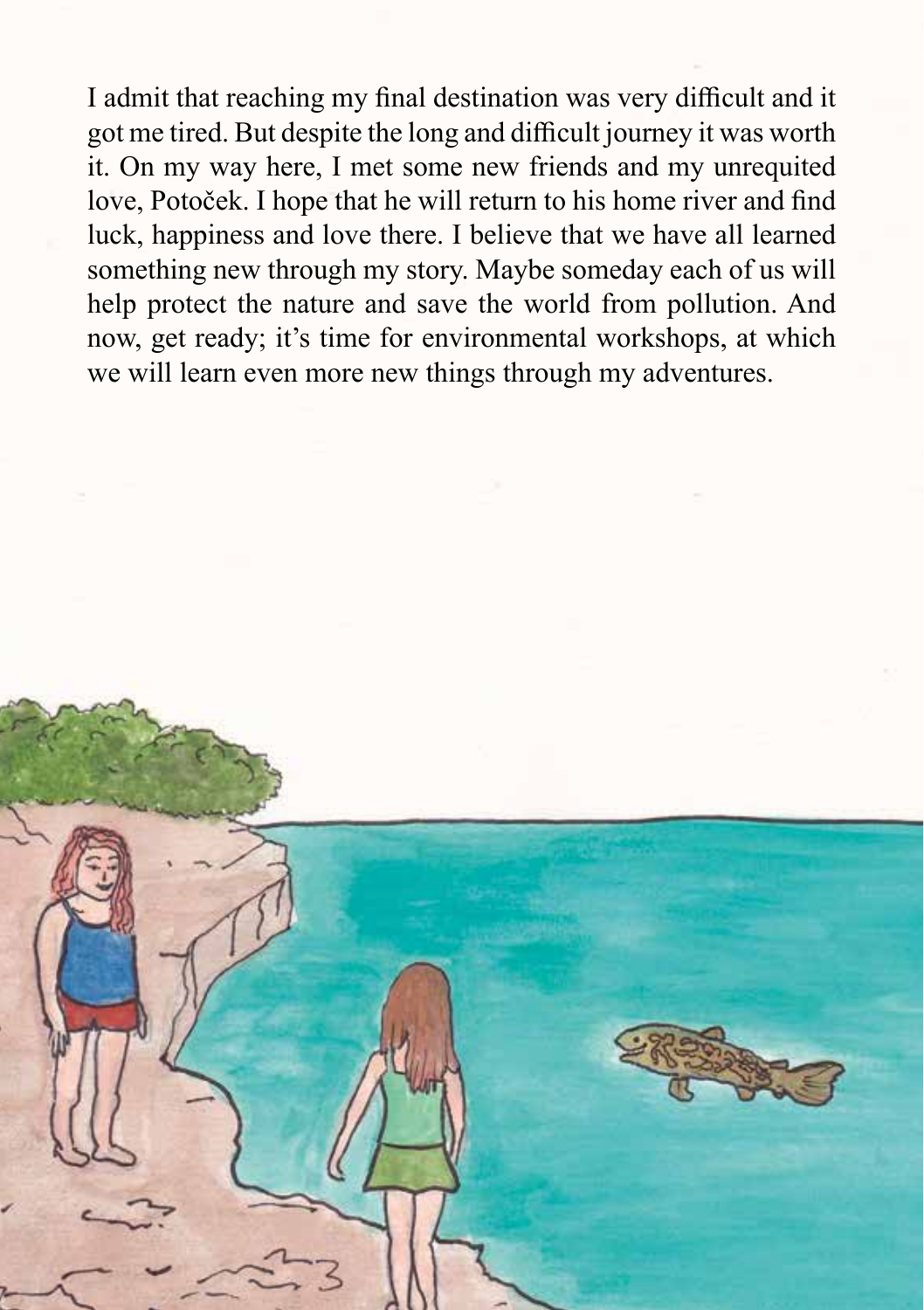I admit that reaching my final destination was very difficult and it got me tired. But despite the long and difficult journey it was worth it. On my way here, I met some new friends and my unrequited love, Potoček. I hope that he will return to his home river and find luck, happiness and love there. I believe that we have all learned something new through my story. Maybe someday each of us will help protect the nature and save the world from pollution. And now, get ready; it's time for environmental workshops, at which we will learn even more new things through my adventures.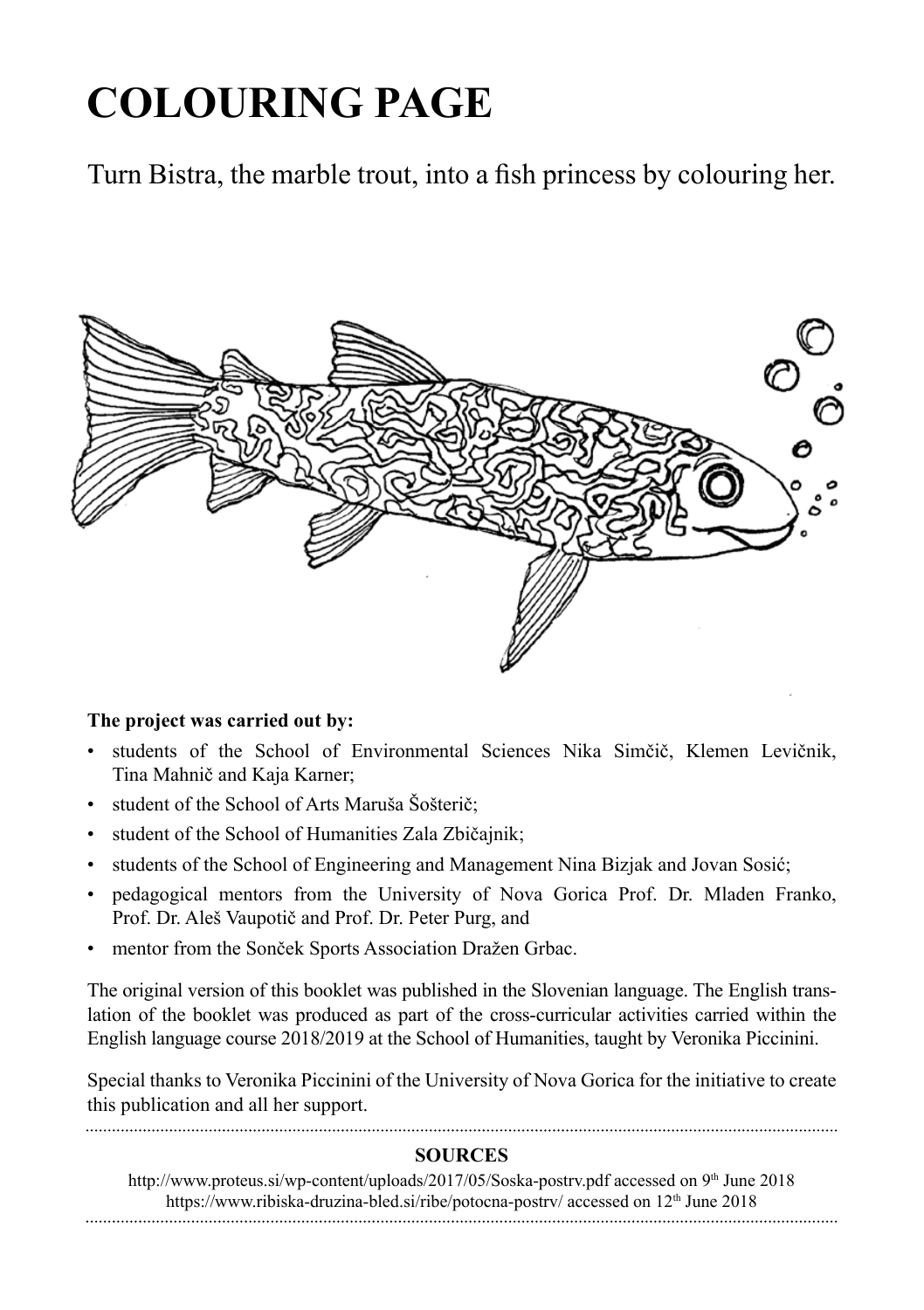## **COLOURING PAGE**

Turn Bistra, the marble trout, into a fish princess by colouring her.



### **The project was carried out by:**

- students of the School of Environmental Sciences Nika Simčič, Klemen Levičnik, Tina Mahnič and Kaja Karner;
- student of the School of Arts Maruša Šošterič;
- student of the School of Humanities Zala Zbičajnik;
- students of the School of Engineering and Management Nina Bizjak and Jovan Sosić;
- pedagogical mentors from the University of Nova Gorica Prof. Dr. Mladen Franko, Prof. Dr. Aleš Vaupotič and Prof. Dr. Peter Purg, and
- mentor from the Sonček Sports Association Dražen Grbac.

The original version of this booklet was published in the Slovenian language. The English translation of the booklet was produced as part of the cross-curricular activities carried within the English language course 2018/2019 at the School of Humanities, taught by Veronika Piccinini.

Special thanks to Veronika Piccinini of the University of Nova Gorica for the initiative to create this publication and all her support.

### **SOURCES**

http://www.proteus.si/wp-content/uploads/2017/05/Soska-postrv.pdf accessed on 9<sup>th</sup> June 2018 https://www.ribiska-druzina-bled.si/ribe/potocna-postrv/ accessed on 12<sup>th</sup> June 2018